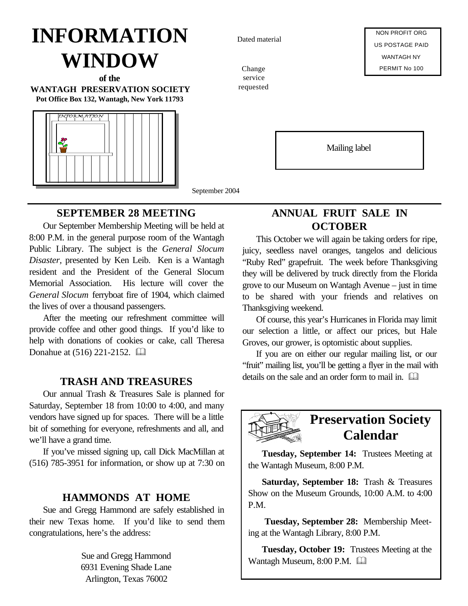# **INFORMATION WINDOW**

**of the WANTAGH PRESERVATION SOCIETY Pot Office Box 132, Wantagh, New York 11793**



September 2004

## **SEPTEMBER 28 MEETING**

Our September Membership Meeting will be held at 8:00 P.M. in the general purpose room of the Wantagh Public Library. The subject is the *General Slocum Disaster,* presented by Ken Leib. Ken is a Wantagh resident and the President of the General Slocum Memorial Association. His lecture will cover the *General Slocum* ferryboat fire of 1904, which claimed the lives of over a thousand passengers.

After the meeting our refreshment committee will provide coffee and other good things. If you'd like to help with donations of cookies or cake, call Theresa Donahue at  $(516)$  221-2152.  $\Box$ 

## **TRASH AND TREASURES**

Our annual Trash & Treasures Sale is planned for Saturday, September 18 from 10:00 to 4:00, and many vendors have signed up for spaces. There will be a little bit of something for everyone, refreshments and all, and we'll have a grand time.

If you've missed signing up, call Dick MacMillan at (516) 785-3951 for information, or show up at 7:30 on

### **HAMMONDS AT HOME**

Sue and Gregg Hammond are safely established in their new Texas home. If you'd like to send them congratulations, here's the address:

> Sue and Gregg Hammond 6931 Evening Shade Lane Arlington, Texas 76002

Dated material

Change service requested

NON PROFIT ORG US POSTAGE PAID WANTAGH NY PERMIT No 100

Mailing label

**ANNUAL FRUIT SALE IN OCTOBER**

This October we will again be taking orders for ripe, juicy, seedless navel oranges, tangelos and delicious "Ruby Red" grapefruit. The week before Thanksgiving they will be delivered by truck directly from the Florida grove to our Museum on Wantagh Avenue – just in time to be shared with your friends and relatives on Thanksgiving weekend.

Of course, this year's Hurricanes in Florida may limit our selection a little, or affect our prices, but Hale Groves, our grower, is optomistic about supplies.

If you are on either our regular mailing list, or our "fruit" mailing list, you'll be getting a flyer in the mail with details on the sale and an order form to mail in.  $\Box$ 



# **Preservation Society Calendar**

**Tuesday, September 14:** Trustees Meeting at the Wantagh Museum, 8:00 P.M.

**Saturday, September 18:** Trash & Treasures Show on the Museum Grounds, 10:00 A.M. to 4:00 P.M.

 **Tuesday, September 28:** Membership Meeting at the Wantagh Library, 8:00 P.M.

**Tuesday, October 19:** Trustees Meeting at the Wantagh Museum, 8:00 P.M.  $\Box$